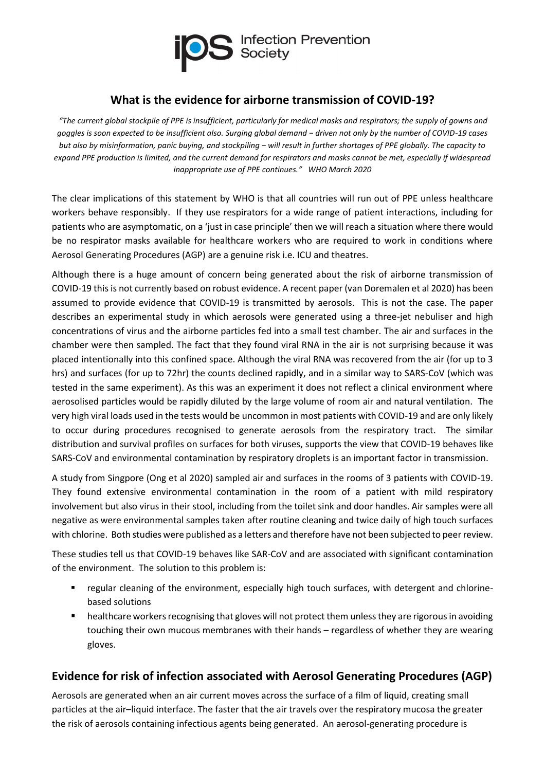

## **What is the evidence for airborne transmission of COVID-19?**

*"The current global stockpile of PPE is insufficient, particularly for medical masks and respirators; the supply of gowns and goggles is soon expected to be insufficient also. Surging global demand − driven not only by the number of COVID-19 cases but also by misinformation, panic buying, and stockpiling − will result in further shortages of PPE globally. The capacity to expand PPE production is limited, and the current demand for respirators and masks cannot be met, especially if widespread inappropriate use of PPE continues." WHO March 2020*

The clear implications of this statement by WHO is that all countries will run out of PPE unless healthcare workers behave responsibly. If they use respirators for a wide range of patient interactions, including for patients who are asymptomatic, on a 'just in case principle' then we will reach a situation where there would be no respirator masks available for healthcare workers who are required to work in conditions where Aerosol Generating Procedures (AGP) are a genuine risk i.e. ICU and theatres.

Although there is a huge amount of concern being generated about the risk of airborne transmission of COVID-19 this is not currently based on robust evidence. A recent paper (van Doremalen et al 2020) has been assumed to provide evidence that COVID-19 is transmitted by aerosols. This is not the case. The paper describes an experimental study in which aerosols were generated using a three-jet nebuliser and high concentrations of virus and the airborne particles fed into a small test chamber. The air and surfaces in the chamber were then sampled. The fact that they found viral RNA in the air is not surprising because it was placed intentionally into this confined space. Although the viral RNA was recovered from the air (for up to 3 hrs) and surfaces (for up to 72hr) the counts declined rapidly, and in a similar way to SARS-CoV (which was tested in the same experiment). As this was an experiment it does not reflect a clinical environment where aerosolised particles would be rapidly diluted by the large volume of room air and natural ventilation. The very high viral loads used in the tests would be uncommon in most patients with COVID-19 and are only likely to occur during procedures recognised to generate aerosols from the respiratory tract. The similar distribution and survival profiles on surfaces for both viruses, supports the view that COVID-19 behaves like SARS-CoV and environmental contamination by respiratory droplets is an important factor in transmission.

A study from Singpore (Ong et al 2020) sampled air and surfaces in the rooms of 3 patients with COVID-19. They found extensive environmental contamination in the room of a patient with mild respiratory involvement but also virus in their stool, including from the toilet sink and door handles. Air samples were all negative as were environmental samples taken after routine cleaning and twice daily of high touch surfaces with chlorine. Both studies were published as a letters and therefore have not been subjected to peer review.

These studies tell us that COVID-19 behaves like SAR-CoV and are associated with significant contamination of the environment. The solution to this problem is:

- regular cleaning of the environment, especially high touch surfaces, with detergent and chlorinebased solutions
- healthcare workers recognising that gloves will not protect them unless they are rigorous in avoiding touching their own mucous membranes with their hands – regardless of whether they are wearing gloves.

## **Evidence for risk of infection associated with Aerosol Generating Procedures (AGP)**

Aerosols are generated when an air current moves across the surface of a film of liquid, creating small particles at the air–liquid interface. The faster that the air travels over the respiratory mucosa the greater the risk of aerosols containing infectious agents being generated. An aerosol-generating procedure is